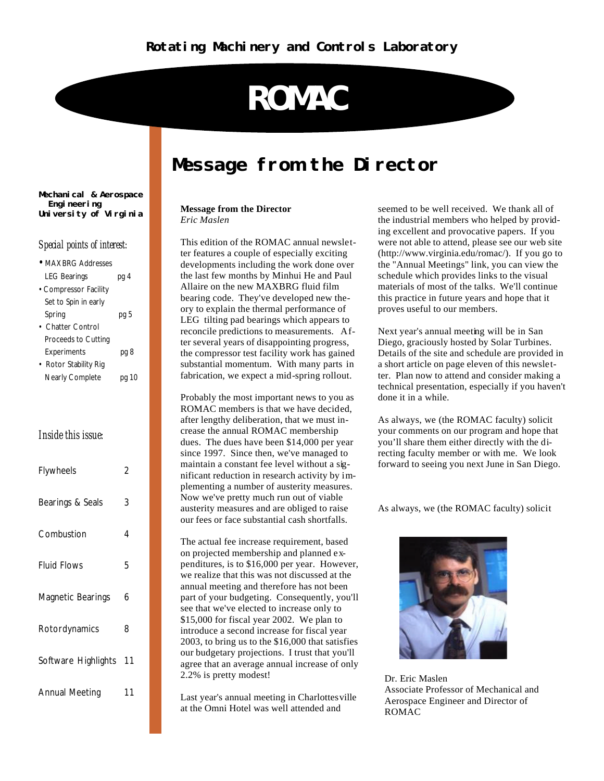# **ROMAC**

### **Message from the Director**

#### **Message from the Director** *Eric Maslen*

This edition of the ROMAC annual newsletter features a couple of especially exciting developments including the work done over the last few months by Minhui He and Paul Allaire on the new MAXBRG fluid film bearing code. They've developed new theory to explain the thermal performance of LEG tilting pad bearings which appears to reconcile predictions to measurements. After several years of disappointing progress, the compressor test facility work has gained substantial momentum. With many parts in fabrication, we expect a mid-spring rollout.

Probably the most important news to you as ROMAC members is that we have decided, after lengthy deliberation, that we must increase the annual ROMAC membership dues. The dues have been \$14,000 per year since 1997. Since then, we've managed to maintain a constant fee level without a significant reduction in research activity by implementing a number of austerity measures. Now we've pretty much run out of viable austerity measures and are obliged to raise our fees or face substantial cash shortfalls.

The actual fee increase requirement, based on projected membership and planned expenditures, is to \$16,000 per year. However, we realize that this was not discussed at the annual meeting and therefore has not been part of your budgeting. Consequently, you'll see that we've elected to increase only to \$15,000 for fiscal year 2002. We plan to introduce a second increase for fiscal year 2003, to bring us to the \$16,000 that satisfies our budgetary projections. I trust that you'll agree that an average annual increase of only 2.2% is pretty modest!

Last year's annual meeting in Charlottesville at the Omni Hotel was well attended and

seemed to be well received. We thank all of the industrial members who helped by providing excellent and provocative papers. If you were not able to attend, please see our web site (http://www.virginia.edu/romac/). If you go to the "Annual Meetings" link, you can view the schedule which provides links to the visual materials of most of the talks. We'll continue this practice in future years and hope that it proves useful to our members.

Next year's annual meeting will be in San Diego, graciously hosted by Solar Turbines. Details of the site and schedule are provided in a short article on page eleven of this newsletter. Plan now to attend and consider making a technical presentation, especially if you haven't done it in a while.

As always, we (the ROMAC faculty) solicit your comments on our program and hope that you'll share them either directly with the directing faculty member or with me. We look forward to seeing you next June in San Diego.

As always, we (the ROMAC faculty) solicit



Dr. Eric Maslen Associate Professor of Mechanical and Aerospace Engineer and Director of ROMAC

#### **Mechanical & Aerospace Engineering University of Virginia**

#### *Special points of interest:*

| <b>MAXBRG Addresses</b> |                |
|-------------------------|----------------|
| <b>LEG Bearings</b>     | pg 4           |
| • Compressor Facility   |                |
| Set to Spin in early    |                |
| Spring                  | pg 5           |
| <b>Chatter Control</b>  |                |
| Proceeds to Cutting     |                |
| Experiments             | pg 8           |
| • Rotor Stability Rig   |                |
| Nearly Complete         | pg 10          |
|                         |                |
|                         |                |
|                         |                |
|                         |                |
| Inside this issue:      |                |
|                         |                |
| Flywheels               | 2              |
|                         |                |
|                         |                |
| Bearings & Seals        | 3              |
|                         |                |
| Combustion              | $\overline{4}$ |
|                         |                |
|                         |                |
| <b>Fluid Flows</b>      | 5              |
|                         |                |
| Magnetic Bearings       | 6              |
|                         |                |
|                         |                |
| Rotordynamics           | 8              |
|                         |                |
| Software Highlights     | 11             |
|                         |                |
|                         |                |
| <b>Annual Meeting</b>   | 11             |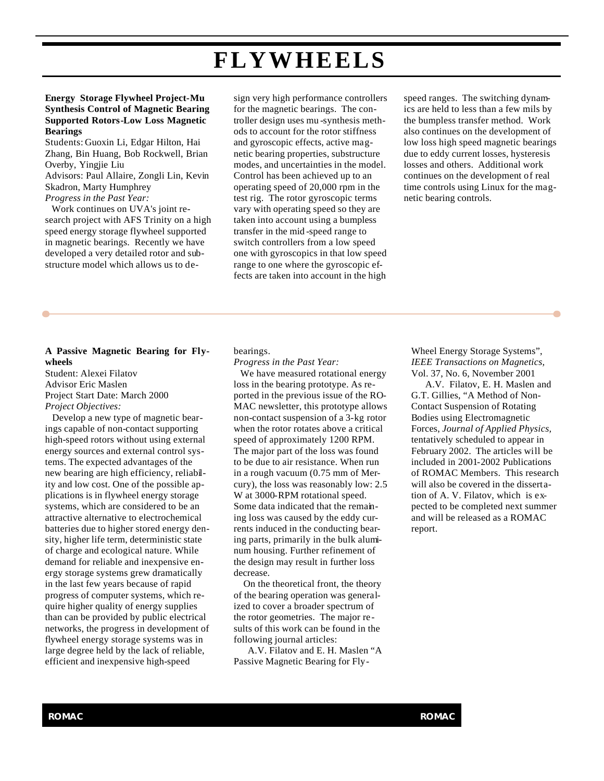## **FLYWHEELS**

#### **Energy Storage Flywheel Project-Mu Synthesis Control of Magnetic Bearing Supported Rotors-Low Loss Magnetic Bearings**

Students: Guoxin Li, Edgar Hilton, Hai Zhang, Bin Huang, Bob Rockwell, Brian Overby, Yingjie Liu Advisors: Paul Allaire, Zongli Lin, Kevin Skadron, Marty Humphrey *Progress in the Past Year:*

 Work continues on UVA's joint research project with AFS Trinity on a high speed energy storage flywheel supported in magnetic bearings. Recently we have developed a very detailed rotor and substructure model which allows us to design very high performance controllers for the magnetic bearings. The controller design uses mu -synthesis methods to account for the rotor stiffness and gyroscopic effects, active magnetic bearing properties, substructure modes, and uncertainties in the model. Control has been achieved up to an operating speed of 20,000 rpm in the test rig. The rotor gyroscopic terms vary with operating speed so they are taken into account using a bumpless transfer in the mid -speed range to switch controllers from a low speed one with gyroscopics in that low speed range to one where the gyroscopic effects are taken into account in the high

speed ranges. The switching dynamics are held to less than a few mils by the bumpless transfer method. Work also continues on the development of low loss high speed magnetic bearings due to eddy current losses, hysteresis losses and others. Additional work continues on the development of real time controls using Linux for the magnetic bearing controls.

#### **A Passive Magnetic Bearing for Flywheels**

Student: Alexei Filatov Advisor Eric Maslen Project Start Date: March 2000 *Project Objectives:*

 Develop a new type of magnetic bearings capable of non-contact supporting high-speed rotors without using external energy sources and external control systems. The expected advantages of the new bearing are high efficiency, reliability and low cost. One of the possible applications is in flywheel energy storage systems, which are considered to be an attractive alternative to electrochemical batteries due to higher stored energy density, higher life term, deterministic state of charge and ecological nature. While demand for reliable and inexpensive energy storage systems grew dramatically in the last few years because of rapid progress of computer systems, which require higher quality of energy supplies than can be provided by public electrical networks, the progress in development of flywheel energy storage systems was in large degree held by the lack of reliable, efficient and inexpensive high-speed

bearings.

*Progress in the Past Year:* 

We have measured rotational energy loss in the bearing prototype. As reported in the previous issue of the RO-MAC newsletter, this prototype allows non-contact suspension of a 3-kg rotor when the rotor rotates above a critical speed of approximately 1200 RPM. The major part of the loss was found to be due to air resistance. When run in a rough vacuum (0.75 mm of Mercury), the loss was reasonably low: 2.5 W at 3000-RPM rotational speed. Some data indicated that the remaining loss was caused by the eddy currents induced in the conducting bearing parts, primarily in the bulk aluminum housing. Further refinement of the design may result in further loss decrease.

 On the theoretical front, the theory of the bearing operation was generalized to cover a broader spectrum of the rotor geometries. The major results of this work can be found in the following journal articles:

A.V. Filatov and E. H. Maslen "A Passive Magnetic Bearing for FlyWheel Energy Storage Systems", *IEEE Transactions on Magnetics,*  Vol. 37, No. 6, November 2001

A.V. Filatov, E. H. Maslen and G.T. Gillies, "A Method of Non-Contact Suspension of Rotating Bodies using Electromagnetic Forces, *Journal of Applied Physics,*  tentatively scheduled to appear in February 2002. The articles will be included in 2001-2002 Publications of ROMAC Members. This research will also be covered in the dissertation of A. V. Filatov, which is expected to be completed next summer and will be released as a ROMAC report.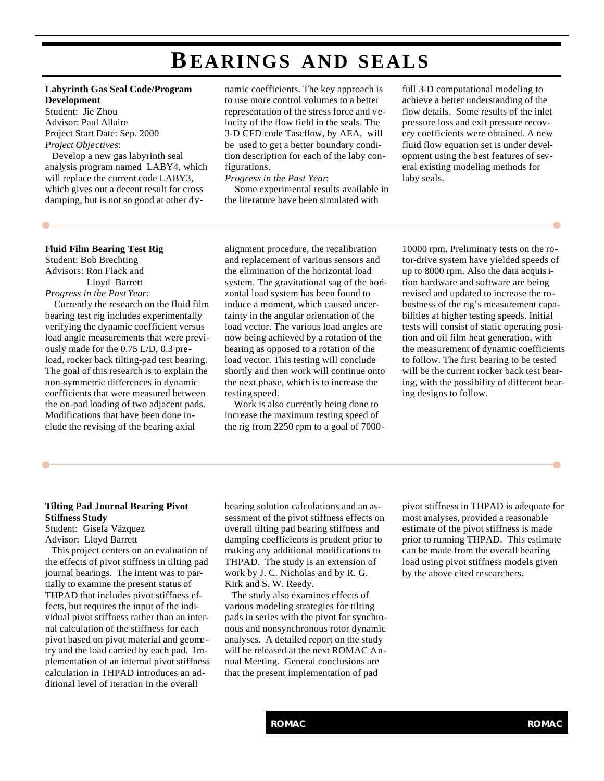### **BEARINGS AND SEALS**

#### **Labyrinth Gas Seal Code/Program Development**

Student: Jie Zhou Advisor: Paul Allaire Project Start Date: Sep. 2000 *Project Objectives*:

 Develop a new gas labyrinth seal analysis program named LABY4, which will replace the current code LABY3, which gives out a decent result for cross damping, but is not so good at other dy-

#### namic coefficients. The key approach is to use more control volumes to a better representation of the stress force and velocity of the flow field in the seals. The 3-D CFD code Tascflow, by AEA, will be used to get a better boundary condition description for each of the laby configurations.

*Progress in the Past Year*:

 Some experimental results available in the literature have been simulated with

full 3-D computational modeling to achieve a better understanding of the flow details. Some results of the inlet pressure loss and exit pressure recovery coefficients were obtained. A new fluid flow equation set is under development using the best features of several existing modeling methods for laby seals.

#### **Fluid Film Bearing Test Rig**

Student: Bob Brechting Advisors: Ron Flack and Lloyd Barrett *Progress in the Past Year:*

 Currently the research on the fluid film bearing test rig includes experimentally verifying the dynamic coefficient versus load angle measurements that were previously made for the 0.75 L/D, 0.3 preload, rocker back tilting-pad test bearing. The goal of this research is to explain the non-symmetric differences in dynamic coefficients that were measured between the on-pad loading of two adjacent pads. Modifications that have been done include the revising of the bearing axial

alignment procedure, the recalibration and replacement of various sensors and the elimination of the horizontal load system. The gravitational sag of the horizontal load system has been found to induce a moment, which caused uncertainty in the angular orientation of the load vector. The various load angles are now being achieved by a rotation of the bearing as opposed to a rotation of the load vector. This testing will conclude shortly and then work will continue onto the next phase, which is to increase the testing speed.

 Work is also currently being done to increase the maximum testing speed of the rig from 2250 rpm to a goal of 700010000 rpm. Preliminary tests on the rotor-drive system have yielded speeds of up to 8000 rpm. Also the data acquisition hardware and software are being revised and updated to increase the robustness of the rig's measurement capabilities at higher testing speeds. Initial tests will consist of static operating position and oil film heat generation, with the measurement of dynamic coefficients to follow. The first bearing to be tested will be the current rocker back test bearing, with the possibility of different bearing designs to follow.

### **Tilting Pad Journal Bearing Pivot Stiffness Study**

Student: Gisela Vázquez Advisor: Lloyd Barrett

 This project centers on an evaluation of the effects of pivot stiffness in tilting pad journal bearings. The intent was to partially to examine the present status of THPAD that includes pivot stiffness effects, but requires the input of the individual pivot stiffness rather than an internal calculation of the stiffness for each pivot based on pivot material and geometry and the load carried by each pad. Implementation of an internal pivot stiffness calculation in THPAD introduces an additional level of iteration in the overall

bearing solution calculations and an assessment of the pivot stiffness effects on overall tilting pad bearing stiffness and damping coefficients is prudent prior to making any additional modifications to THPAD. The study is an extension of work by J. C. Nicholas and by R. G. Kirk and S. W. Reedy.

 The study also examines effects of various modeling strategies for tilting pads in series with the pivot for synchronous and nonsynchronous rotor dynamic analyses. A detailed report on the study will be released at the next ROMAC Annual Meeting. General conclusions are that the present implementation of pad

pivot stiffness in THPAD is adequate for most analyses, provided a reasonable estimate of the pivot stiffness is made prior to running THPAD. This estimate can be made from the overall bearing load using pivot stiffness models given by the above cited researchers.

۵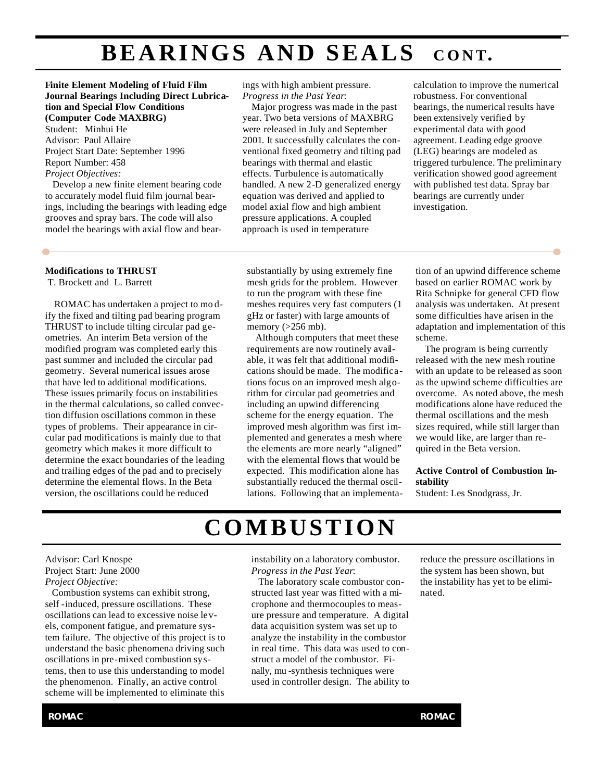## **BEARINGS AND SEALS** CONT.

**Finite Element Modeling of Fluid Film Journal Bearings Including Direct Lubrication and Special Flow Conditions (Computer Code MAXBRG)** Student: Minhui He

Advisor: Paul Allaire Project Start Date: September 1996 Report Number: 458 *Project Objectives:* 

Develop a new finite element bearing code to accurately model fluid film journal bearings, including the bearings with leading edge grooves and spray bars. The code will also model the bearings with axial flow and bear-

#### **Modifications to THRUST**

T. Brockett and L. Barrett

 ROMAC has undertaken a project to mo dify the fixed and tilting pad bearing program THRUST to include tilting circular pad geometries. An interim Beta version of the modified program was completed early this past summer and included the circular pad geometry. Several numerical issues arose that have led to additional modifications. These issues primarily focus on instabilities in the thermal calculations, so called convection diffusion oscillations common in these types of problems. Their appearance in circular pad modifications is mainly due to that geometry which makes it more difficult to determine the exact boundaries of the leading and trailing edges of the pad and to precisely determine the elemental flows. In the Beta version, the oscillations could be reduced

ings with high ambient pressure. *Progress in the Past Year*:

 Major progress was made in the past year. Two beta versions of MAXBRG were released in July and September 2001. It successfully calculates the conventional fixed geometry and tilting pad bearings with thermal and elastic effects. Turbulence is automatically handled. A new 2-D generalized energy equation was derived and applied to model axial flow and high ambient pressure applications. A coupled approach is used in temperature

calculation to improve the numerical robustness. For conventional bearings, the numerical results have been extensively verified by experimental data with good agreement. Leading edge groove (LEG) bearings are modeled as triggered turbulence. The preliminary verification showed good agreement with published test data. Spray bar bearings are currently under investigation.

substantially by using extremely fine mesh grids for the problem. However to run the program with these fine meshes requires very fast computers (1 gHz or faster) with large amounts of memory  $(>256$  mb).

 Although computers that meet these requirements are now routinely available, it was felt that additional modifications should be made. The modifications focus on an improved mesh algorithm for circular pad geometries and including an upwind differencing scheme for the energy equation. The improved mesh algorithm was first implemented and generates a mesh where the elements are more nearly "aligned" with the elemental flows that would be expected. This modification alone has substantially reduced the thermal oscillations. Following that an implementation of an upwind difference scheme based on earlier ROMAC work by Rita Schnipke for general CFD flow analysis was undertaken. At present some difficulties have arisen in the adaptation and implementation of this scheme.

۰

 The program is being currently released with the new mesh routine with an update to be released as soon as the upwind scheme difficulties are overcome. As noted above, the mesh modifications alone have reduced the thermal oscillations and the mesh sizes required, while still larger than we would like, are larger than required in the Beta version.

#### **Active Control of Combustion Instability**

Student: Les Snodgrass, Jr.

### **COMBUSTION**

#### Advisor: Carl Knospe Project Start: June 2000 *Project Objective:*

 Combustion systems can exhibit strong, self -induced, pressure oscillations. These oscillations can lead to excessive noise levels, component fatigue, and premature system failure. The objective of this project is to understand the basic phenomena driving such oscillations in pre-mixed combustion systems, then to use this understanding to model the phenomenon. Finally, an active control scheme will be implemented to eliminate this

instability on a laboratory combustor. *Progress in the Past Year*:

 The laboratory scale combustor constructed last year was fitted with a microphone and thermocouples to measure pressure and temperature. A digital data acquisition system was set up to analyze the instability in the combustor in real time. This data was used to construct a model of the combustor. Finally, mu -synthesis techniques were used in controller design. The ability to

reduce the pressure oscillations in the system has been shown, but the instability has yet to be eliminated.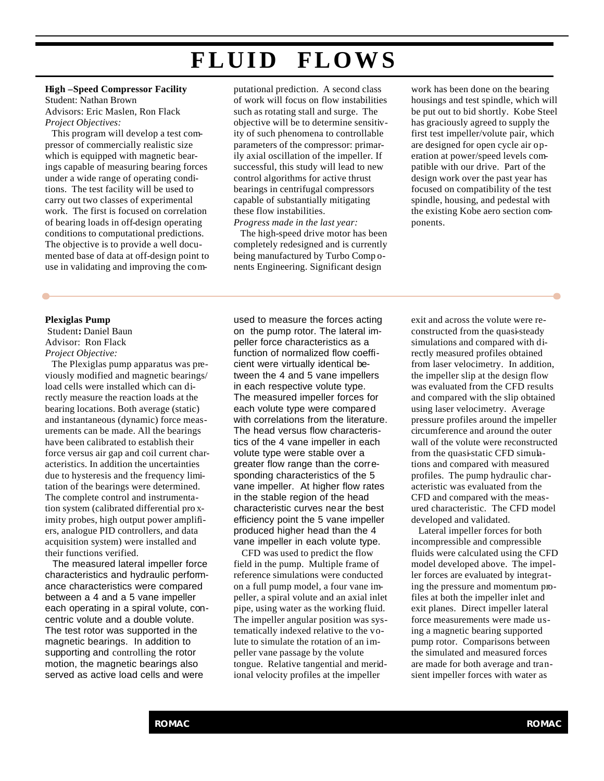### **FLUID FLOWS**

#### **High –Speed Compressor Facility** Student: Nathan Brown Advisors: Eric Maslen, Ron Flack *Project Objectives:*

 This program will develop a test compressor of commercially realistic size which is equipped with magnetic bearings capable of measuring bearing forces under a wide range of operating conditions. The test facility will be used to carry out two classes of experimental work. The first is focused on correlation of bearing loads in off-design operating conditions to computational predictions. The objective is to provide a well documented base of data at off-design point to use in validating and improving the com-

#### **Plexiglas Pump**

Student**:** Daniel Baun Advisor: Ron Flack *Project Objective:*

 The Plexiglas pump apparatus was previously modified and magnetic bearings/ load cells were installed which can directly measure the reaction loads at the bearing locations. Both average (static) and instantaneous (dynamic) force measurements can be made. All the bearings have been calibrated to establish their force versus air gap and coil current characteristics. In addition the uncertainties due to hysteresis and the frequency limitation of the bearings were determined. The complete control and instrumentation system (calibrated differential pro ximity probes, high output power amplifiers, analogue PID controllers, and data acquisition system) were installed and their functions verified.

 The measured lateral impeller force characteristics and hydraulic performance characteristics were compared between a 4 and a 5 vane impeller each operating in a spiral volute, concentric volute and a double volute. The test rotor was supported in the magnetic bearings. In addition to supporting and controlling the rotor motion, the magnetic bearings also served as active load cells and were

putational prediction. A second class of work will focus on flow instabilities such as rotating stall and surge. The objective will be to determine sensitivity of such phenomena to controllable parameters of the compressor: primarily axial oscillation of the impeller. If successful, this study will lead to new control algorithms for active thrust bearings in centrifugal compressors capable of substantially mitigating these flow instabilities. *Progress made in the last year:*

 The high-speed drive motor has been completely redesigned and is currently being manufactured by Turbo Comp onents Engineering. Significant design

work has been done on the bearing housings and test spindle, which will be put out to bid shortly. Kobe Steel has graciously agreed to supply the first test impeller/volute pair, which are designed for open cycle air operation at power/speed levels compatible with our drive. Part of the design work over the past year has focused on compatibility of the test spindle, housing, and pedestal with the existing Kobe aero section components.

used to measure the forces acting on the pump rotor. The lateral impeller force characteristics as a function of normalized flow coefficient were virtually identical between the 4 and 5 vane impellers in each respective volute type. The measured impeller forces for each volute type were compared with correlations from the literature. The head versus flow characteristics of the 4 vane impeller in each volute type were stable over a greater flow range than the corresponding characteristics of the 5 vane impeller. At higher flow rates in the stable region of the head characteristic curves near the best efficiency point the 5 vane impeller produced higher head than the 4 vane impeller in each volute type.

 CFD was used to predict the flow field in the pump. Multiple frame of reference simulations were conducted on a full pump model, a four vane impeller, a spiral volute and an axial inlet pipe, using water as the working fluid. The impeller angular position was systematically indexed relative to the volute to simulate the rotation of an impeller vane passage by the volute tongue. Relative tangential and meridional velocity profiles at the impeller

exit and across the volute were reconstructed from the quasi-steady simulations and compared with directly measured profiles obtained from laser velocimetry. In addition, the impeller slip at the design flow was evaluated from the CFD results and compared with the slip obtained using laser velocimetry. Average pressure profiles around the impeller circumference and around the outer wall of the volute were reconstructed from the quasi-static CFD simulations and compared with measured profiles. The pump hydraulic characteristic was evaluated from the CFD and compared with the measured characteristic. The CFD model developed and validated.

 Lateral impeller forces for both incompressible and compressible fluids were calculated using the CFD model developed above. The impeller forces are evaluated by integrating the pressure and momentum profiles at both the impeller inlet and exit planes. Direct impeller lateral force measurements were made using a magnetic bearing supported pump rotor. Comparisons between the simulated and measured forces are made for both average and transient impeller forces with water as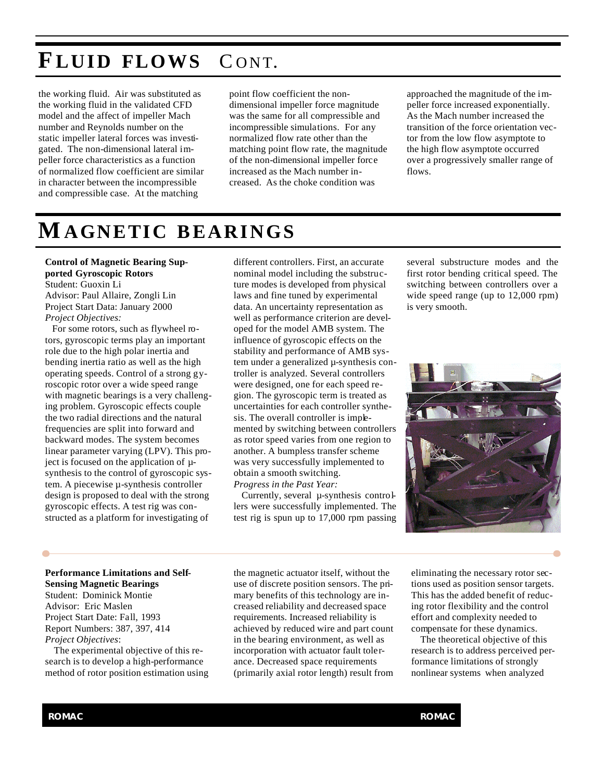### **F LUID FLOWS** C ONT.

the working fluid. Air was substituted as the working fluid in the validated CFD model and the affect of impeller Mach number and Reynolds number on the static impeller lateral forces was investigated. The non-dimensional lateral impeller force characteristics as a function of normalized flow coefficient are similar in character between the incompressible and compressible case. At the matching

point flow coefficient the nondimensional impeller force magnitude was the same for all compressible and incompressible simulations. For any normalized flow rate other than the matching point flow rate, the magnitude of the non-dimensional impeller force increased as the Mach number increased. As the choke condition was

approached the magnitude of the impeller force increased exponentially. As the Mach number increased the transition of the force orientation vector from the low flow asymptote to the high flow asymptote occurred over a progressively smaller range of flows.

### **MAGNETIC BEARINGS**

**Control of Magnetic Bearing Supported Gyroscopic Rotors** Student: Guoxin Li Advisor: Paul Allaire, Zongli Lin Project Start Data: January 2000 *Project Objectives:*

 For some rotors, such as flywheel rotors, gyroscopic terms play an important role due to the high polar inertia and bending inertia ratio as well as the high operating speeds. Control of a strong gyroscopic rotor over a wide speed range with magnetic bearings is a very challenging problem. Gyroscopic effects couple the two radial directions and the natural frequencies are split into forward and backward modes. The system becomes linear parameter varying (LPV). This project is focused on the application of µsynthesis to the control of gyroscopic system. A piecewise µ-synthesis controller design is proposed to deal with the strong gyroscopic effects. A test rig was constructed as a platform for investigating of

different controllers. First, an accurate nominal model including the substructure modes is developed from physical laws and fine tuned by experimental data. An uncertainty representation as well as performance criterion are developed for the model AMB system. The influence of gyroscopic effects on the stability and performance of AMB system under a generalized µ-synthesis controller is analyzed. Several controllers were designed, one for each speed region. The gyroscopic term is treated as uncertainties for each controller synthesis. The overall controller is implemented by switching between controllers as rotor speed varies from one region to another. A bumpless transfer scheme was very successfully implemented to obtain a smooth switching. *Progress in the Past Year:*

 Currently, several µ-synthesis controllers were successfully implemented. The test rig is spun up to 17,000 rpm passing several substructure modes and the first rotor bending critical speed. The switching between controllers over a wide speed range (up to 12,000 rpm) is very smooth.



#### **Performance Limitations and Self-Sensing Magnetic Bearings**

Student: Dominick Montie Advisor: Eric Maslen Project Start Date: Fall, 1993 Report Numbers: 387, 397, 414 *Project Objectives*:

 The experimental objective of this research is to develop a high-performance method of rotor position estimation using the magnetic actuator itself, without the use of discrete position sensors. The primary benefits of this technology are increased reliability and decreased space requirements. Increased reliability is achieved by reduced wire and part count in the bearing environment, as well as incorporation with actuator fault tolerance. Decreased space requirements (primarily axial rotor length) result from eliminating the necessary rotor sections used as position sensor targets. This has the added benefit of reducing rotor flexibility and the control effort and complexity needed to compensate for these dynamics.

 The theoretical objective of this research is to address perceived performance limitations of strongly nonlinear systems when analyzed

O

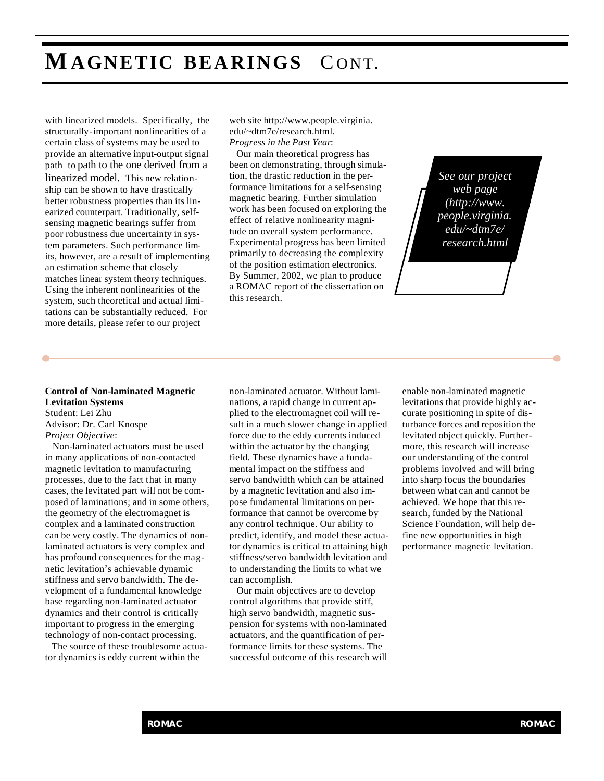### **MAGNETIC BEARINGS** C ONT.

with linearized models. Specifically, the structurally-important nonlinearities of a certain class of systems may be used to provide an alternative input-output signal path to path to the one derived from a linearized model. This new relationship can be shown to have drastically better robustness properties than its linearized counterpart. Traditionally, selfsensing magnetic bearings suffer from poor robustness due uncertainty in system parameters. Such performance limits, however, are a result of implementing an estimation scheme that closely matches linear system theory techniques. Using the inherent nonlinearities of the system, such theoretical and actual limitations can be substantially reduced. For more details, please refer to our project

web site http://www.people.virginia. edu/~dtm7e/research.html. *Progress in the Past Year*:

 Our main theoretical progress has been on demonstrating, through simulation, the drastic reduction in the performance limitations for a self-sensing magnetic bearing. Further simulation work has been focused on exploring the effect of relative nonlinearity magnitude on overall system performance. Experimental progress has been limited primarily to decreasing the complexity of the position estimation electronics. By Summer, 2002, we plan to produce a ROMAC report of the dissertation on this research.

*See our project web page (http://www. people.virginia. edu/~dtm7e/ research.html*

#### **Control of Non-laminated Magnetic Levitation Systems** Student: Lei Zhu

Advisor: Dr. Carl Knospe *Project Objective*:

 Non-laminated actuators must be used in many applications of non-contacted magnetic levitation to manufacturing processes, due to the fact that in many cases, the levitated part will not be composed of laminations; and in some others, the geometry of the electromagnet is complex and a laminated construction can be very costly. The dynamics of nonlaminated actuators is very complex and has profound consequences for the magnetic levitation's achievable dynamic stiffness and servo bandwidth. The development of a fundamental knowledge base regarding non-laminated actuator dynamics and their control is critically important to progress in the emerging technology of non-contact processing.

 The source of these troublesome actuator dynamics is eddy current within the

non-laminated actuator. Without laminations, a rapid change in current applied to the electromagnet coil will result in a much slower change in applied force due to the eddy currents induced within the actuator by the changing field. These dynamics have a fundamental impact on the stiffness and servo bandwidth which can be attained by a magnetic levitation and also impose fundamental limitations on performance that cannot be overcome by any control technique. Our ability to predict, identify, and model these actuator dynamics is critical to attaining high stiffness/servo bandwidth levitation and to understanding the limits to what we can accomplish.

 Our main objectives are to develop control algorithms that provide stiff, high servo bandwidth, magnetic suspension for systems with non-laminated actuators, and the quantification of performance limits for these systems. The successful outcome of this research will enable non-laminated magnetic levitations that provide highly accurate positioning in spite of disturbance forces and reposition the levitated object quickly. Furthermore, this research will increase our understanding of the control problems involved and will bring into sharp focus the boundaries between what can and cannot be achieved. We hope that this research, funded by the National Science Foundation, will help define new opportunities in high performance magnetic levitation.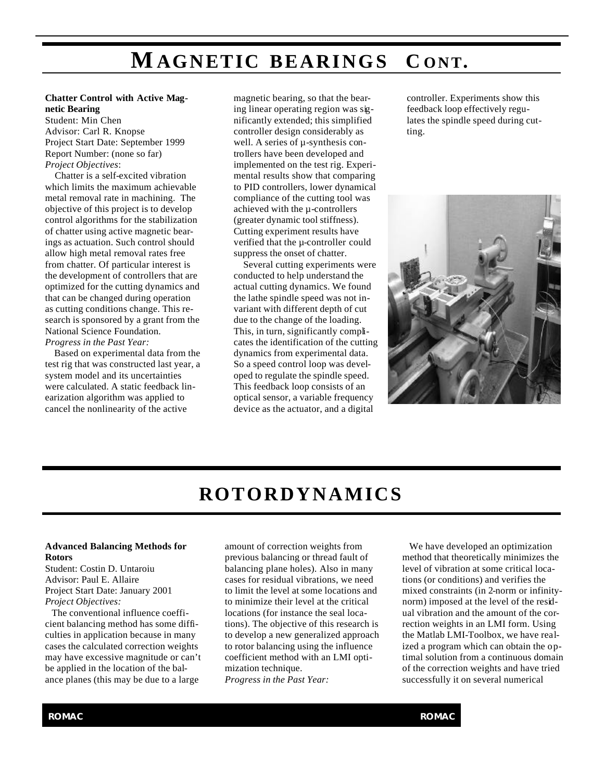### **MAGNETIC BEARINGS C ONT.**

#### **Chatter Control with Active Magnetic Bearing**

Student: Min Chen Advisor: Carl R. Knopse Project Start Date: September 1999 Report Number: (none so far) *Project Objectives*:

 Chatter is a self-excited vibration which limits the maximum achievable metal removal rate in machining. The objective of this project is to develop control algorithms for the stabilization of chatter using active magnetic bearings as actuation. Such control should allow high metal removal rates free from chatter. Of particular interest is the development of controllers that are optimized for the cutting dynamics and that can be changed during operation as cutting conditions change. This research is sponsored by a grant from the National Science Foundation. *Progress in the Past Year:*

 Based on experimental data from the test rig that was constructed last year, a system model and its uncertainties were calculated. A static feedback linearization algorithm was applied to cancel the nonlinearity of the active

magnetic bearing, so that the bearing linear operating region was significantly extended; this simplified controller design considerably as well. A series of  $\mu$ -synthesis controllers have been developed and implemented on the test rig. Experimental results show that comparing to PID controllers, lower dynamical compliance of the cutting tool was achieved with the µ-controllers (greater dynamic tool stiffness). Cutting experiment results have verified that the µ-controller could suppress the onset of chatter.

 Several cutting experiments were conducted to help understand the actual cutting dynamics. We found the lathe spindle speed was not invariant with different depth of cut due to the change of the loading. This, in turn, significantly complicates the identification of the cutting dynamics from experimental data. So a speed control loop was developed to regulate the spindle speed. This feedback loop consists of an optical sensor, a variable frequency device as the actuator, and a digital

controller. Experiments show this feedback loop effectively regulates the spindle speed during cutting.



### **ROTORDYNAMICS**

#### **Advanced Balancing Methods for Rotors**

Student: Costin D. Untaroiu Advisor: Paul E. Allaire Project Start Date: January 2001 *Project Objectives:*

 The conventional influence coefficient balancing method has some difficulties in application because in many cases the calculated correction weights may have excessive magnitude or can't be applied in the location of the balance planes (this may be due to a large

amount of correction weights from previous balancing or thread fault of balancing plane holes). Also in many cases for residual vibrations, we need to limit the level at some locations and to minimize their level at the critical locations (for instance the seal locations). The objective of this research is to develop a new generalized approach to rotor balancing using the influence coefficient method with an LMI optimization technique. *Progress in the Past Year:*

 We have developed an optimization method that theoretically minimizes the level of vibration at some critical locations (or conditions) and verifies the mixed constraints (in 2-norm or infinitynorm) imposed at the level of the residual vibration and the amount of the correction weights in an LMI form. Using the Matlab LMI-Toolbox, we have realized a program which can obtain the optimal solution from a continuous domain of the correction weights and have tried successfully it on several numerical

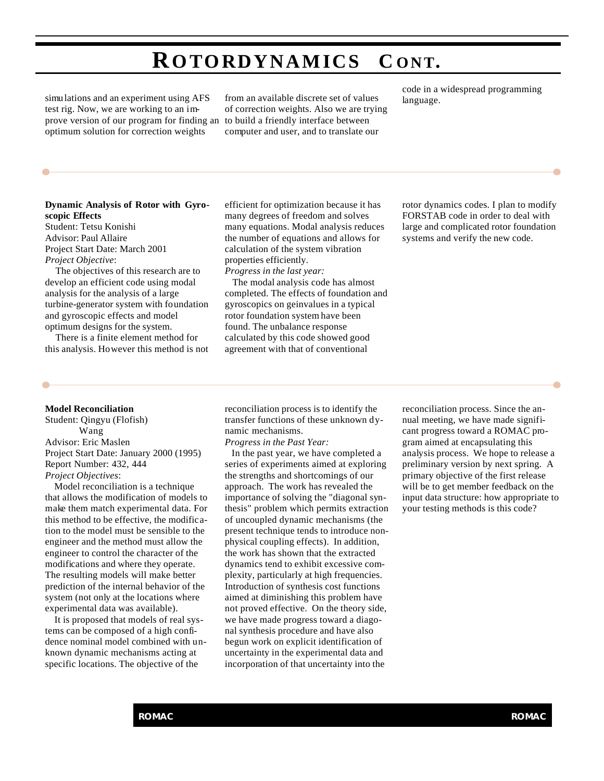### **ROTORDYNAMICS C ONT.**

simulations and an experiment using AFS test rig. Now, we are working to an improve version of our program for finding an optimum solution for correction weights

from an available discrete set of values of correction weights. Also we are trying to build a friendly interface between computer and user, and to translate our

code in a widespread programming language.

#### **Dynamic Analysis of Rotor with Gyroscopic Effects**

Student: Tetsu Konishi Advisor: Paul Allaire Project Start Date: March 2001 *Project Objective*:

The objectives of this research are to develop an efficient code using modal analysis for the analysis of a large turbine-generator system with foundation and gyroscopic effects and model optimum designs for the system.

There is a finite element method for this analysis. However this method is not efficient for optimization because it has many degrees of freedom and solves many equations. Modal analysis reduces the number of equations and allows for calculation of the system vibration properties efficiently. *Progress in the last year:*

 The modal analysis code has almost completed. The effects of foundation and gyroscopics on geinvalues in a typical rotor foundation system have been found. The unbalance response calculated by this code showed good

agreement with that of conventional

rotor dynamics codes. I plan to modify FORSTAB code in order to deal with large and complicated rotor foundation systems and verify the new code.

#### **Model Reconciliation**

Student: Qingyu (Flofish) Wang Advisor: Eric Maslen Project Start Date: January 2000 (1995) Report Number: 432, 444 *Project Objectives*:

 Model reconciliation is a technique that allows the modification of models to make them match experimental data. For this method to be effective, the modification to the model must be sensible to the engineer and the method must allow the engineer to control the character of the modifications and where they operate. The resulting models will make better prediction of the internal behavior of the system (not only at the locations where experimental data was available).

 It is proposed that models of real systems can be composed of a high confidence nominal model combined with unknown dynamic mechanisms acting at specific locations. The objective of the

reconciliation process is to identify the transfer functions of these unknown dynamic mechanisms.

*Progress in the Past Year:*

 In the past year, we have completed a series of experiments aimed at exploring the strengths and shortcomings of our approach. The work has revealed the importance of solving the "diagonal synthesis" problem which permits extraction of uncoupled dynamic mechanisms (the present technique tends to introduce nonphysical coupling effects). In addition, the work has shown that the extracted dynamics tend to exhibit excessive complexity, particularly at high frequencies. Introduction of synthesis cost functions aimed at diminishing this problem have not proved effective. On the theory side, we have made progress toward a diagonal synthesis procedure and have also begun work on explicit identification of uncertainty in the experimental data and incorporation of that uncertainty into the

reconciliation process. Since the annual meeting, we have made significant progress toward a ROMAC program aimed at encapsulating this analysis process. We hope to release a preliminary version by next spring. A primary objective of the first release will be to get member feedback on the input data structure: how appropriate to your testing methods is this code?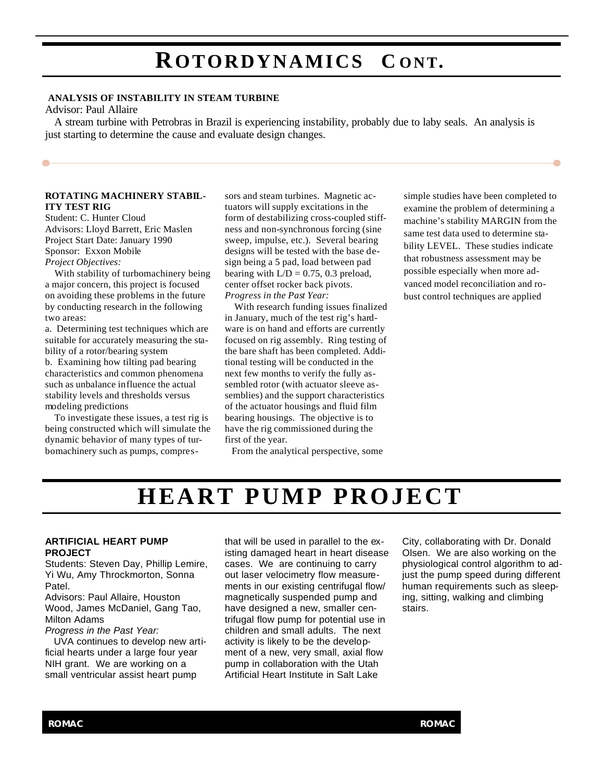### **ROTORDYNAMICS C ONT.**

#### **ANALYSIS OF INSTABILITY IN STEAM TURBINE**

#### Advisor: Paul Allaire

 A stream turbine with Petrobras in Brazil is experiencing instability, probably due to laby seals. An analysis is just starting to determine the cause and evaluate design changes.

#### **ROTATING MACHINERY STABIL-ITY TEST RIG**

Student: C. Hunter Cloud Advisors: Lloyd Barrett, Eric Maslen Project Start Date: January 1990 Sponsor: Exxon Mobile *Project Objectives:*

 With stability of turbomachinery being a major concern, this project is focused on avoiding these problems in the future by conducting research in the following two areas:

a. Determining test techniques which are suitable for accurately measuring the stability of a rotor/bearing system b. Examining how tilting pad bearing characteristics and common phenomena such as unbalance influence the actual stability levels and thresholds versus modeling predictions

 To investigate these issues, a test rig is being constructed which will simulate the dynamic behavior of many types of turbomachinery such as pumps, compres-

sors and steam turbines. Magnetic actuators will supply excitations in the form of destabilizing cross-coupled stiffness and non-synchronous forcing (sine sweep, impulse, etc.). Several bearing designs will be tested with the base design being a 5 pad, load between pad bearing with  $L/D = 0.75$ , 0.3 preload, center offset rocker back pivots. *Progress in the Past Year:*

 With research funding issues finalized in January, much of the test rig's hardware is on hand and efforts are currently focused on rig assembly. Ring testing of the bare shaft has been completed. Additional testing will be conducted in the next few months to verify the fully assembled rotor (with actuator sleeve assemblies) and the support characteristics of the actuator housings and fluid film bearing housings. The objective is to have the rig commissioned during the first of the year.

From the analytical perspective, some

simple studies have been completed to examine the problem of determining a machine's stability MARGIN from the same test data used to determine stability LEVEL. These studies indicate that robustness assessment may be possible especially when more advanced model reconciliation and robust control techniques are applied

### **HEART PUMP PROJECT**

#### **ARTIFICIAL HEART PUMP PROJECT**

Students: Steven Day, Phillip Lemire, Yi Wu, Amy Throckmorton, Sonna Patel.

Advisors: Paul Allaire, Houston Wood, James McDaniel, Gang Tao, Milton Adams

*Progress in the Past Year:*

 UVA continues to develop new artificial hearts under a large four year NIH grant. We are working on a small ventricular assist heart pump

that will be used in parallel to the existing damaged heart in heart disease cases. We are continuing to carry out laser velocimetry flow measurements in our existing centrifugal flow/ magnetically suspended pump and have designed a new, smaller centrifugal flow pump for potential use in children and small adults. The next activity is likely to be the development of a new, very small, axial flow pump in collaboration with the Utah Artificial Heart Institute in Salt Lake

City, collaborating with Dr. Donald Olsen. We are also working on the physiological control algorithm to adjust the pump speed during different human requirements such as sleeping, sitting, walking and climbing stairs.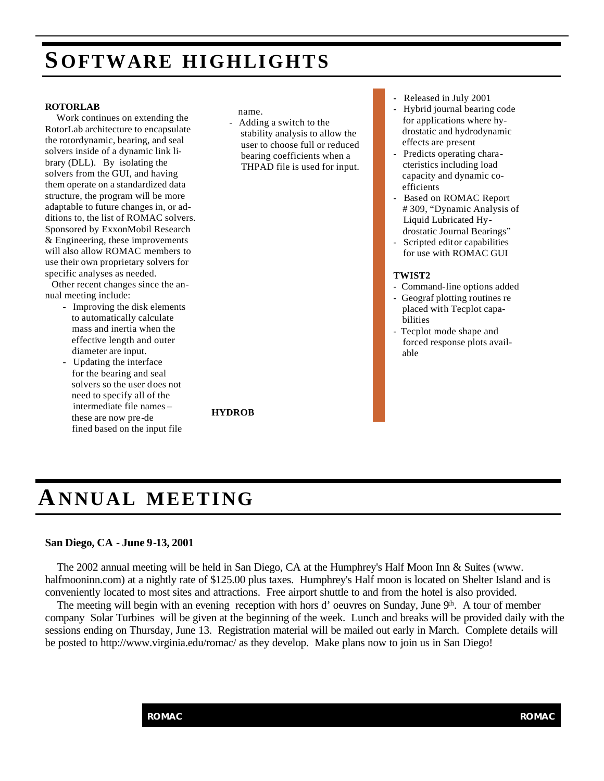### **S OFTWARE HIGHLIGHTS**

#### **ROTORLAB**

 Work continues on extending the RotorLab architecture to encapsulate the rotordynamic, bearing, and seal solvers inside of a dynamic link library (DLL). By isolating the solvers from the GUI, and having them operate on a standardized data structure, the program will be more adaptable to future changes in, or additions to, the list of ROMAC solvers. Sponsored by ExxonMobil Research & Engineering, these improvements will also allow ROMAC members to use their own proprietary solvers for specific analyses as needed.

 Other recent changes since the annual meeting include:

- Improving the disk elements to automatically calculate mass and inertia when the effective length and outer diameter are input.
- Updating the interface for the bearing and seal solvers so the user does not need to specify all of the intermediate file names – these are now pre-de fined based on the input file

name.

**HYDROB**

- Adding a switch to the stability analysis to allow the user to choose full or reduced bearing coefficients when a THPAD file is used for input.
- Released in July 2001
- Hybrid journal bearing code for applications where hy drostatic and hydrodynamic effects are present
- Predicts operating chara cteristics including load capacity and dynamic co efficients
- Based on ROMAC Report # 309, "Dynamic Analysis of Liquid Lubricated Hy drostatic Journal Bearings"
- Scripted editor capabilities for use with ROMAC GUI

#### **TWIST2**

- Command-line options added
- Geograf plotting routines re placed with Tecplot capa bilities
- Tecplot mode shape and forced response plots avail able

**ANNUAL MEETING**

### **San Diego, CA - June 9-13, 2001**

 The 2002 annual meeting will be held in San Diego, CA at the Humphrey's Half Moon Inn & Suites (www. halfmooninn.com) at a nightly rate of \$125.00 plus taxes. Humphrey's Half moon is located on Shelter Island and is conveniently located to most sites and attractions. Free airport shuttle to and from the hotel is also provided.

The meeting will begin with an evening reception with hors d' oeuvres on Sunday, June 9<sup>th</sup>. A tour of member company Solar Turbines will be given at the beginning of the week. Lunch and breaks will be provided daily with the sessions ending on Thursday, June 13. Registration material will be mailed out early in March. Complete details will be posted to http://www.virginia.edu/romac/ as they develop. Make plans now to join us in San Diego!